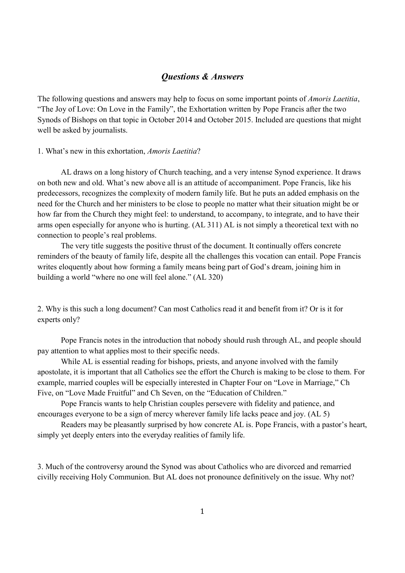## *Questions & Answers*

The following questions and answers may help to focus on some important points of *Amoris Laetitia*, "The Joy of Love: On Love in the Family", the Exhortation written by Pope Francis after the two Synods of Bishops on that topic in October 2014 and October 2015. Included are questions that might well be asked by journalists.

## 1. What's new in this exhortation, *Amoris Laetitia*?

AL draws on a long history of Church teaching, and a very intense Synod experience. It draws on both new and old. What's new above all is an attitude of accompaniment. Pope Francis, like his predecessors, recognizes the complexity of modern family life. But he puts an added emphasis on the need for the Church and her ministers to be close to people no matter what their situation might be or how far from the Church they might feel: to understand, to accompany, to integrate, and to have their arms open especially for anyone who is hurting. (AL 311) AL is not simply a theoretical text with no connection to people's real problems.

The very title suggests the positive thrust of the document. It continually offers concrete reminders of the beauty of family life, despite all the challenges this vocation can entail. Pope Francis writes eloquently about how forming a family means being part of God's dream, joining him in building a world "where no one will feel alone." (AL 320)

2. Why is this such a long document? Can most Catholics read it and benefit from it? Or is it for experts only?

Pope Francis notes in the introduction that nobody should rush through AL, and people should pay attention to what applies most to their specific needs.

While AL is essential reading for bishops, priests, and anyone involved with the family apostolate, it is important that all Catholics see the effort the Church is making to be close to them. For example, married couples will be especially interested in Chapter Four on "Love in Marriage," Ch Five, on "Love Made Fruitful" and Ch Seven, on the "Education of Children."

Pope Francis wants to help Christian couples persevere with fidelity and patience, and encourages everyone to be a sign of mercy wherever family life lacks peace and joy. (AL 5)

Readers may be pleasantly surprised by how concrete AL is. Pope Francis, with a pastor's heart, simply yet deeply enters into the everyday realities of family life.

3. Much of the controversy around the Synod was about Catholics who are divorced and remarried civilly receiving Holy Communion. But AL does not pronounce definitively on the issue. Why not?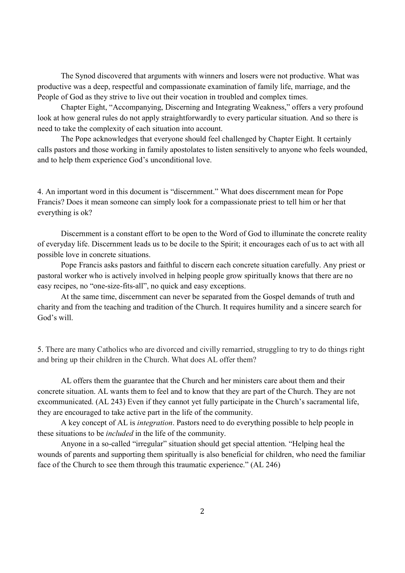The Synod discovered that arguments with winners and losers were not productive. What was productive was a deep, respectful and compassionate examination of family life, marriage, and the People of God as they strive to live out their vocation in troubled and complex times.

 Chapter Eight, "Accompanying, Discerning and Integrating Weakness," offers a very profound look at how general rules do not apply straightforwardly to every particular situation. And so there is need to take the complexity of each situation into account.

The Pope acknowledges that everyone should feel challenged by Chapter Eight. It certainly calls pastors and those working in family apostolates to listen sensitively to anyone who feels wounded, and to help them experience God's unconditional love.

4. An important word in this document is "discernment." What does discernment mean for Pope Francis? Does it mean someone can simply look for a compassionate priest to tell him or her that everything is ok?

 Discernment is a constant effort to be open to the Word of God to illuminate the concrete reality of everyday life. Discernment leads us to be docile to the Spirit; it encourages each of us to act with all possible love in concrete situations.

 Pope Francis asks pastors and faithful to discern each concrete situation carefully. Any priest or pastoral worker who is actively involved in helping people grow spiritually knows that there are no easy recipes, no "one-size-fits-all", no quick and easy exceptions.

 At the same time, discernment can never be separated from the Gospel demands of truth and charity and from the teaching and tradition of the Church. It requires humility and a sincere search for God's will.

5. There are many Catholics who are divorced and civilly remarried, struggling to try to do things right and bring up their children in the Church. What does AL offer them?

AL offers them the guarantee that the Church and her ministers care about them and their concrete situation. AL wants them to feel and to know that they are part of the Church. They are not excommunicated. (AL 243) Even if they cannot yet fully participate in the Church's sacramental life, they are encouraged to take active part in the life of the community.

A key concept of AL is *integration*. Pastors need to do everything possible to help people in these situations to be *included* in the life of the community.

Anyone in a so-called "irregular" situation should get special attention. "Helping heal the wounds of parents and supporting them spiritually is also beneficial for children, who need the familiar face of the Church to see them through this traumatic experience." (AL 246)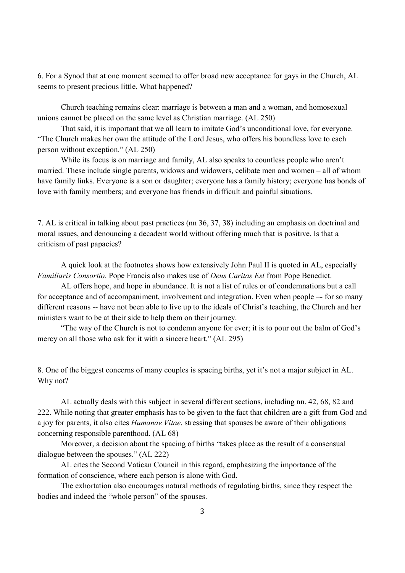6. For a Synod that at one moment seemed to offer broad new acceptance for gays in the Church, AL seems to present precious little. What happened?

Church teaching remains clear: marriage is between a man and a woman, and homosexual unions cannot be placed on the same level as Christian marriage. (AL 250)

That said, it is important that we all learn to imitate God's unconditional love, for everyone. "The Church makes her own the attitude of the Lord Jesus, who offers his boundless love to each person without exception." (AL 250)

While its focus is on marriage and family, AL also speaks to countless people who aren't married. These include single parents, widows and widowers, celibate men and women – all of whom have family links. Everyone is a son or daughter; everyone has a family history; everyone has bonds of love with family members; and everyone has friends in difficult and painful situations.

7. AL is critical in talking about past practices (nn 36, 37, 38) including an emphasis on doctrinal and moral issues, and denouncing a decadent world without offering much that is positive. Is that a criticism of past papacies?

 A quick look at the footnotes shows how extensively John Paul II is quoted in AL, especially *Familiaris Consortio*. Pope Francis also makes use of *Deus Caritas Est* from Pope Benedict.

 AL offers hope, and hope in abundance. It is not a list of rules or of condemnations but a call for acceptance and of accompaniment, involvement and integration. Even when people –- for so many different reasons -- have not been able to live up to the ideals of Christ's teaching, the Church and her ministers want to be at their side to help them on their journey.

 "The way of the Church is not to condemn anyone for ever; it is to pour out the balm of God's mercy on all those who ask for it with a sincere heart." (AL 295)

8. One of the biggest concerns of many couples is spacing births, yet it's not a major subject in AL. Why not?

AL actually deals with this subject in several different sections, including nn. 42, 68, 82 and 222. While noting that greater emphasis has to be given to the fact that children are a gift from God and a joy for parents, it also cites *Humanae Vitae*, stressing that spouses be aware of their obligations concerning responsible parenthood. (AL 68)

Moreover, a decision about the spacing of births "takes place as the result of a consensual dialogue between the spouses." (AL 222)

AL cites the Second Vatican Council in this regard, emphasizing the importance of the formation of conscience, where each person is alone with God.

The exhortation also encourages natural methods of regulating births, since they respect the bodies and indeed the "whole person" of the spouses.